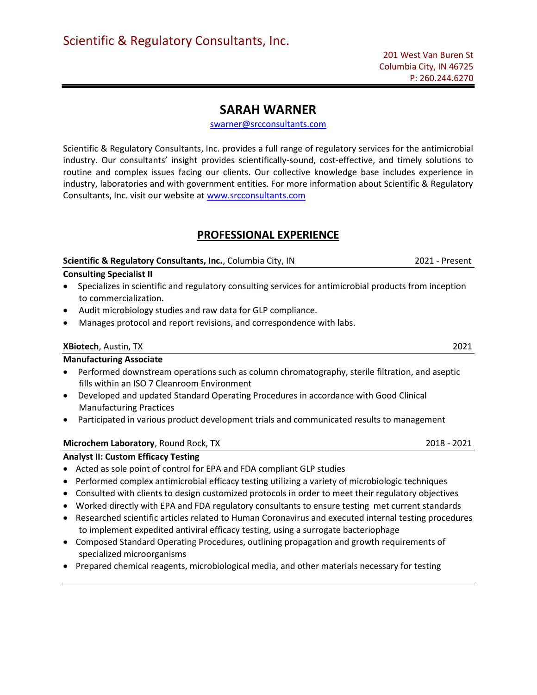### SARAH WARNER

swarner@srcconsultants.com

Scientific & Regulatory Consultants, Inc. provides a full range of regulatory services for the antimicrobial industry. Our consultants' insight provides scientifically-sound, cost-effective, and timely solutions to routine and complex issues facing our clients. Our collective knowledge base includes experience in industry, laboratories and with government entities. For more information about Scientific & Regulatory Consultants, Inc. visit our website at www.srcconsultants.com

## PROFESSIONAL EXPERIENCE

### Scientific & Regulatory Consultants, Inc., Columbia City, IN 2021 - Present Consulting Specialist II

- Specializes in scientific and regulatory consulting services for antimicrobial products from inception to commercialization.
- Audit microbiology studies and raw data for GLP compliance.
- Manages protocol and report revisions, and correspondence with labs.

### XBiotech, Austin, TX 2021

### Manufacturing Associate

- Performed downstream operations such as column chromatography, sterile filtration, and aseptic fills within an ISO 7 Cleanroom Environment
- Developed and updated Standard Operating Procedures in accordance with Good Clinical Manufacturing Practices
- Participated in various product development trials and communicated results to management

### Microchem Laboratory, Round Rock, TX 2018 - 2021 2018 - 2021

### Analyst II: Custom Efficacy Testing

- Acted as sole point of control for EPA and FDA compliant GLP studies
- Performed complex antimicrobial efficacy testing utilizing a variety of microbiologic techniques
- Consulted with clients to design customized protocols in order to meet their regulatory objectives
- Worked directly with EPA and FDA regulatory consultants to ensure testing met current standards
- Researched scientific articles related to Human Coronavirus and executed internal testing procedures to implement expedited antiviral efficacy testing, using a surrogate bacteriophage
- Composed Standard Operating Procedures, outlining propagation and growth requirements of specialized microorganisms
- Prepared chemical reagents, microbiological media, and other materials necessary for testing